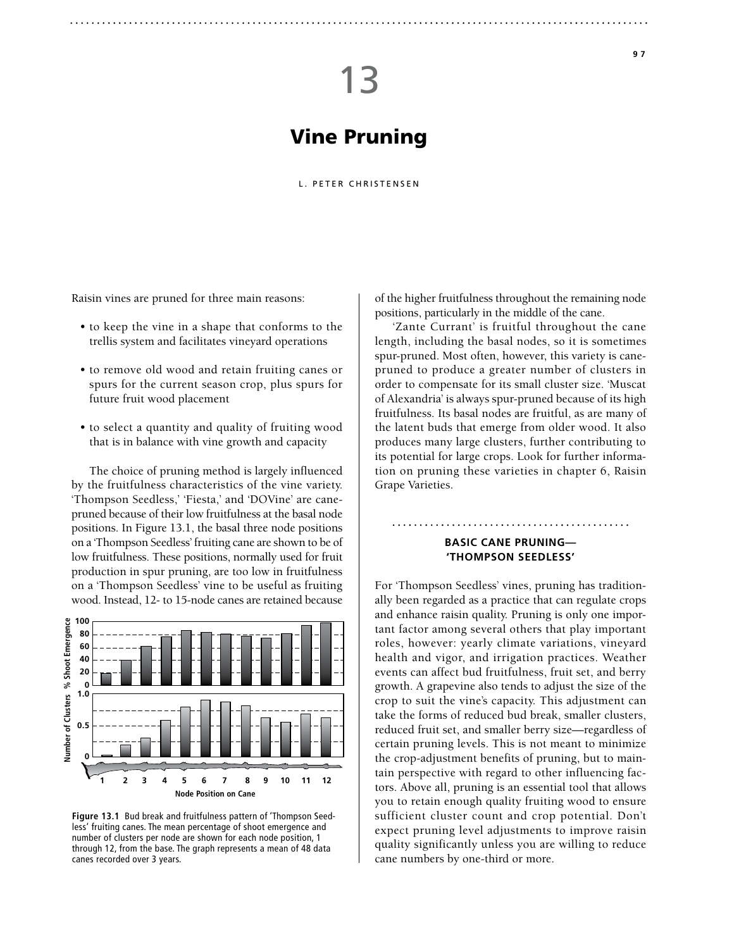# Vine Pruning

### L. PETER CHRISTENSEN

Raisin vines are pruned for three main reasons:

- to keep the vine in a shape that conforms to the trellis system and facilitates vineyard operations
- to remove old wood and retain fruiting canes or spurs for the current season crop, plus spurs for future fruit wood placement
- to select a quantity and quality of fruiting wood that is in balance with vine growth and capacity

The choice of pruning method is largely influenced by the fruitfulness characteristics of the vine variety. 'Thompson Seedless,' 'Fiesta,' and 'DOVine' are canepruned because of their low fruitfulness at the basal node positions. In Figure 13.1, the basal three node positions on a 'Thompson Seedless' fruiting cane are shown to be of low fruitfulness. These positions, normally used for fruit production in spur pruning, are too low in fruitfulness on a 'Thompson Seedless' vine to be useful as fruiting wood. Instead, 12- to 15-node canes are retained because



**Figure 13.1** Bud break and fruitfulness pattern of 'Thompson Seedless' fruiting canes. The mean percentage of shoot emergence and number of clusters per node are shown for each node position, 1 through 12, from the base. The graph represents a mean of 48 data canes recorded over 3 years.

of the higher fruitfulness throughout the remaining node positions, particularly in the middle of the cane.

'Zante Currant' is fruitful throughout the cane length, including the basal nodes, so it is sometimes spur-pruned. Most often, however, this variety is canepruned to produce a greater number of clusters in order to compensate for its small cluster size. 'Muscat of Alexandria' is always spur-pruned because of its high fruitfulness. Its basal nodes are fruitful, as are many of the latent buds that emerge from older wood. It also produces many large clusters, further contributing to its potential for large crops. Look for further information on pruning these varieties in chapter 6, Raisin Grape Varieties.

# **Basic Cane Pruning— 'Thompson Seedless'**

For 'Thompson Seedless' vines, pruning has traditionally been regarded as a practice that can regulate crops and enhance raisin quality. Pruning is only one important factor among several others that play important roles, however: yearly climate variations, vineyard health and vigor, and irrigation practices. Weather events can affect bud fruitfulness, fruit set, and berry growth. A grapevine also tends to adjust the size of the crop to suit the vine's capacity. This adjustment can take the forms of reduced bud break, smaller clusters, reduced fruit set, and smaller berry size—regardless of certain pruning levels. This is not meant to minimize the crop-adjustment benefits of pruning, but to maintain perspective with regard to other influencing factors. Above all, pruning is an essential tool that allows you to retain enough quality fruiting wood to ensure sufficient cluster count and crop potential. Don't expect pruning level adjustments to improve raisin quality significantly unless you are willing to reduce cane numbers by one-third or more.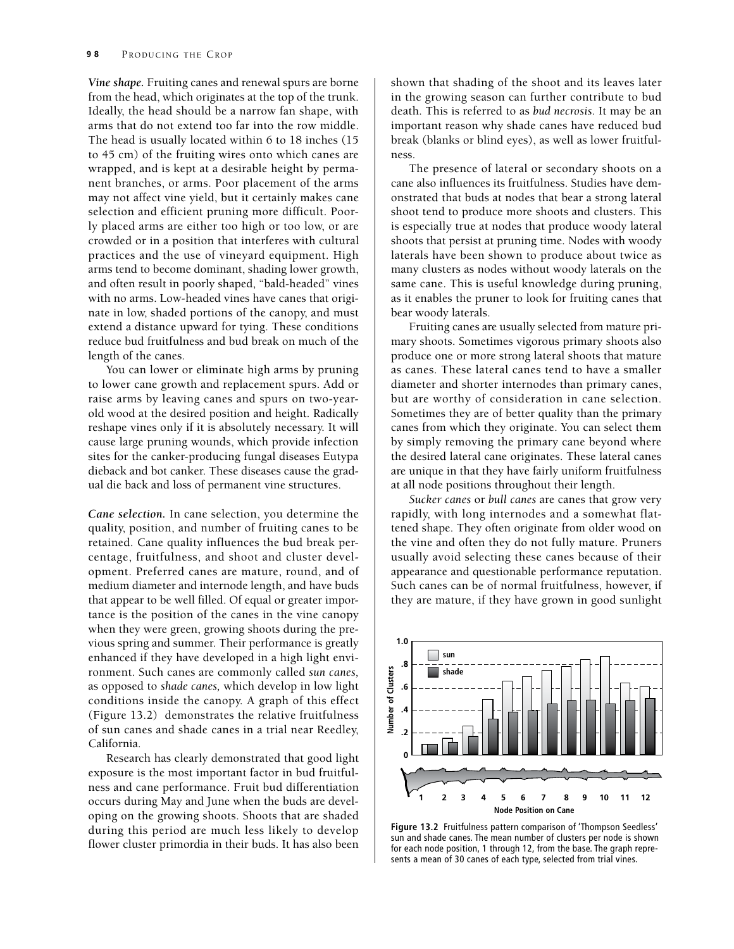*Vine shape.* Fruiting canes and renewal spurs are borne from the head, which originates at the top of the trunk. Ideally, the head should be a narrow fan shape, with arms that do not extend too far into the row middle. The head is usually located within 6 to 18 inches (15 to 45 cm) of the fruiting wires onto which canes are wrapped, and is kept at a desirable height by permanent branches, or arms. Poor placement of the arms may not affect vine yield, but it certainly makes cane selection and efficient pruning more difficult. Poorly placed arms are either too high or too low, or are crowded or in a position that interferes with cultural practices and the use of vineyard equipment. High arms tend to become dominant, shading lower growth, and often result in poorly shaped, "bald-headed" vines with no arms. Low-headed vines have canes that originate in low, shaded portions of the canopy, and must extend a distance upward for tying. These conditions reduce bud fruitfulness and bud break on much of the length of the canes.

You can lower or eliminate high arms by pruning to lower cane growth and replacement spurs. Add or raise arms by leaving canes and spurs on two-yearold wood at the desired position and height. Radically reshape vines only if it is absolutely necessary. It will cause large pruning wounds, which provide infection sites for the canker-producing fungal diseases Eutypa dieback and bot canker. These diseases cause the gradual die back and loss of permanent vine structures.

*Cane selection.* In cane selection, you determine the quality, position, and number of fruiting canes to be retained. Cane quality influences the bud break percentage, fruitfulness, and shoot and cluster development. Preferred canes are mature, round, and of medium diameter and internode length, and have buds that appear to be well filled. Of equal or greater importance is the position of the canes in the vine canopy when they were green, growing shoots during the previous spring and summer. Their performance is greatly enhanced if they have developed in a high light environment. Such canes are commonly called *sun canes,*  as opposed to *shade canes,* which develop in low light conditions inside the canopy. A graph of this effect (Figure 13.2) demonstrates the relative fruitfulness of sun canes and shade canes in a trial near Reedley, California.

Research has clearly demonstrated that good light exposure is the most important factor in bud fruitfulness and cane performance. Fruit bud differentiation occurs during May and June when the buds are developing on the growing shoots. Shoots that are shaded during this period are much less likely to develop flower cluster primordia in their buds. It has also been shown that shading of the shoot and its leaves later in the growing season can further contribute to bud death. This is referred to as *bud necrosis.* It may be an important reason why shade canes have reduced bud break (blanks or blind eyes), as well as lower fruitfulness.

The presence of lateral or secondary shoots on a cane also influences its fruitfulness. Studies have demonstrated that buds at nodes that bear a strong lateral shoot tend to produce more shoots and clusters. This is especially true at nodes that produce woody lateral shoots that persist at pruning time. Nodes with woody laterals have been shown to produce about twice as many clusters as nodes without woody laterals on the same cane. This is useful knowledge during pruning, as it enables the pruner to look for fruiting canes that bear woody laterals.

Fruiting canes are usually selected from mature primary shoots. Sometimes vigorous primary shoots also produce one or more strong lateral shoots that mature as canes. These lateral canes tend to have a smaller diameter and shorter internodes than primary canes, but are worthy of consideration in cane selection. Sometimes they are of better quality than the primary canes from which they originate. You can select them by simply removing the primary cane beyond where the desired lateral cane originates. These lateral canes are unique in that they have fairly uniform fruitfulness at all node positions throughout their length.

*Sucker canes* or *bull canes* are canes that grow very rapidly, with long internodes and a somewhat flattened shape. They often originate from older wood on the vine and often they do not fully mature. Pruners usually avoid selecting these canes because of their appearance and questionable performance reputation. Such canes can be of normal fruitfulness, however, if they are mature, if they have grown in good sunlight



**Figure 13.2** Fruitfulness pattern comparison of 'Thompson Seedless' sun and shade canes. The mean number of clusters per node is shown for each node position, 1 through 12, from the base. The graph represents a mean of 30 canes of each type, selected from trial vines.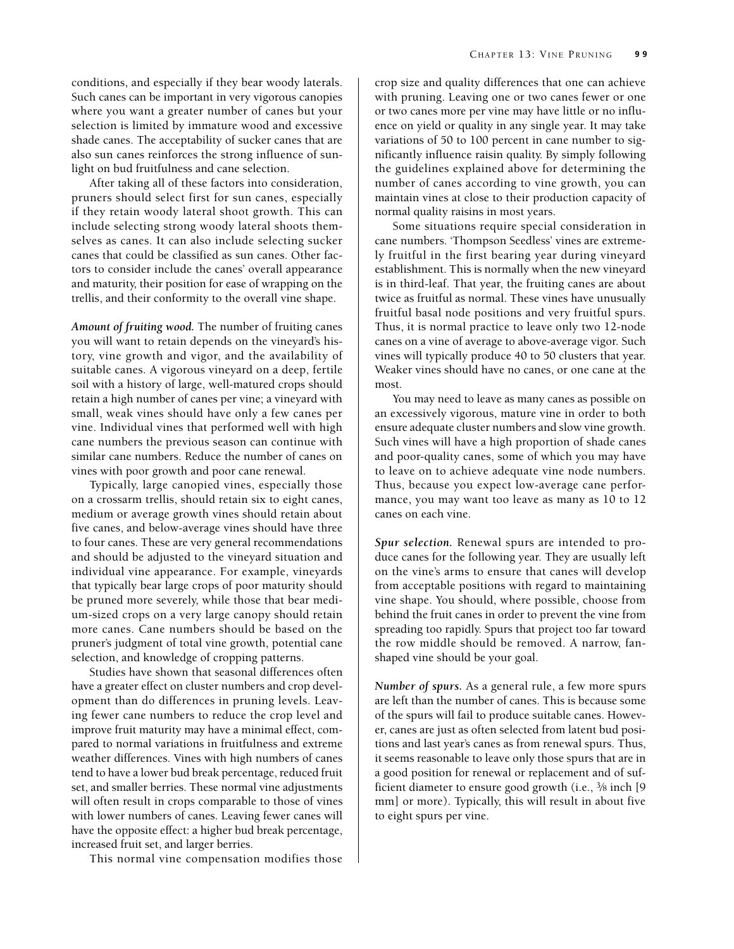conditions, and especially if they bear woody laterals. Such canes can be important in very vigorous canopies where you want a greater number of canes but your selection is limited by immature wood and excessive shade canes. The acceptability of sucker canes that are also sun canes reinforces the strong influence of sunlight on bud fruitfulness and cane selection.

After taking all of these factors into consideration, pruners should select first for sun canes, especially if they retain woody lateral shoot growth. This can include selecting strong woody lateral shoots themselves as canes. It can also include selecting sucker canes that could be classified as sun canes. Other factors to consider include the canes' overall appearance and maturity, their position for ease of wrapping on the trellis, and their conformity to the overall vine shape.

*Amount of fruiting wood.* The number of fruiting canes you will want to retain depends on the vineyard's history, vine growth and vigor, and the availability of suitable canes. A vigorous vineyard on a deep, fertile soil with a history of large, well-matured crops should retain a high number of canes per vine; a vineyard with small, weak vines should have only a few canes per vine. Individual vines that performed well with high cane numbers the previous season can continue with similar cane numbers. Reduce the number of canes on vines with poor growth and poor cane renewal.

Typically, large canopied vines, especially those on a crossarm trellis, should retain six to eight canes, medium or average growth vines should retain about five canes, and below-average vines should have three to four canes. These are very general recommendations and should be adjusted to the vineyard situation and individual vine appearance. For example, vineyards that typically bear large crops of poor maturity should be pruned more severely, while those that bear medium-sized crops on a very large canopy should retain more canes. Cane numbers should be based on the pruner's judgment of total vine growth, potential cane selection, and knowledge of cropping patterns.

Studies have shown that seasonal differences often have a greater effect on cluster numbers and crop development than do differences in pruning levels. Leaving fewer cane numbers to reduce the crop level and improve fruit maturity may have a minimal effect, compared to normal variations in fruitfulness and extreme weather differences. Vines with high numbers of canes tend to have a lower bud break percentage, reduced fruit set, and smaller berries. These normal vine adjustments will often result in crops comparable to those of vines with lower numbers of canes. Leaving fewer canes will have the opposite effect: a higher bud break percentage, increased fruit set, and larger berries.

This normal vine compensation modifies those

crop size and quality differences that one can achieve with pruning. Leaving one or two canes fewer or one or two canes more per vine may have little or no influence on yield or quality in any single year. It may take variations of 50 to 100 percent in cane number to significantly influence raisin quality. By simply following the guidelines explained above for determining the number of canes according to vine growth, you can maintain vines at close to their production capacity of normal quality raisins in most years.

Some situations require special consideration in cane numbers. 'Thompson Seedless' vines are extremely fruitful in the first bearing year during vineyard establishment. This is normally when the new vineyard is in third-leaf. That year, the fruiting canes are about twice as fruitful as normal. These vines have unusually fruitful basal node positions and very fruitful spurs. Thus, it is normal practice to leave only two 12-node canes on a vine of average to above-average vigor. Such vines will typically produce 40 to 50 clusters that year. Weaker vines should have no canes, or one cane at the most.

You may need to leave as many canes as possible on an excessively vigorous, mature vine in order to both ensure adequate cluster numbers and slow vine growth. Such vines will have a high proportion of shade canes and poor-quality canes, some of which you may have to leave on to achieve adequate vine node numbers. Thus, because you expect low-average cane performance, you may want too leave as many as 10 to 12 canes on each vine.

*Spur selection.* Renewal spurs are intended to produce canes for the following year. They are usually left on the vine's arms to ensure that canes will develop from acceptable positions with regard to maintaining vine shape. You should, where possible, choose from behind the fruit canes in order to prevent the vine from spreading too rapidly. Spurs that project too far toward the row middle should be removed. A narrow, fanshaped vine should be your goal.

*Number of spurs.* As a general rule, a few more spurs are left than the number of canes. This is because some of the spurs will fail to produce suitable canes. However, canes are just as often selected from latent bud positions and last year's canes as from renewal spurs. Thus, it seems reasonable to leave only those spurs that are in a good position for renewal or replacement and of sufficient diameter to ensure good growth (i.e., 3⁄8 inch [9 mm] or more). Typically, this will result in about five to eight spurs per vine.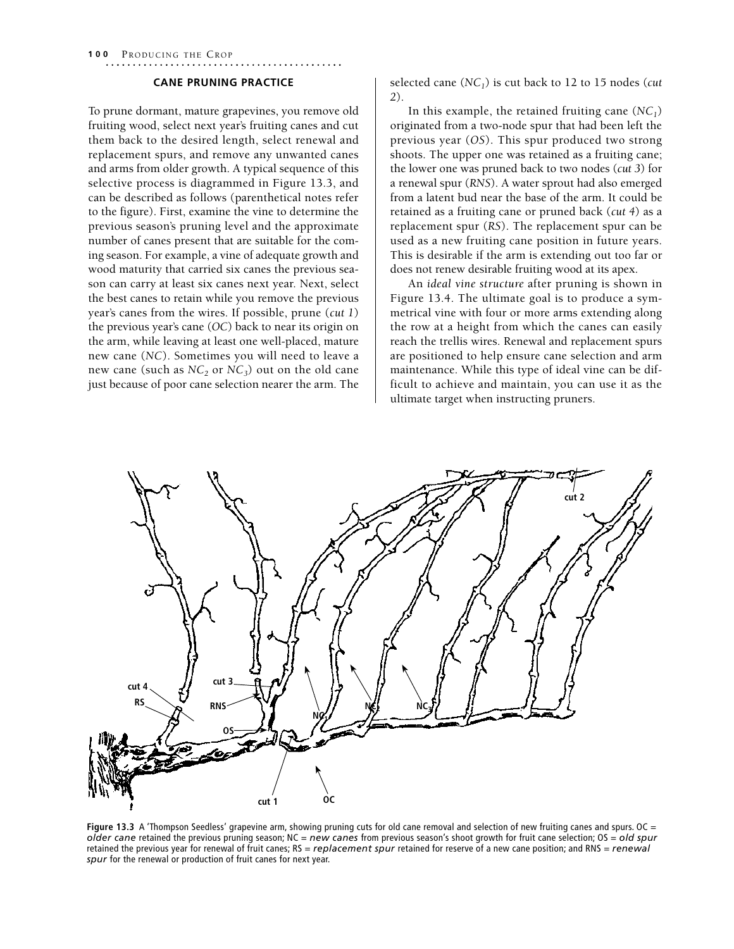**100** PRODUCING THE CROP

## **Cane Pruning Practice**

To prune dormant, mature grapevines, you remove old fruiting wood, select next year's fruiting canes and cut them back to the desired length, select renewal and replacement spurs, and remove any unwanted canes and arms from older growth. A typical sequence of this selective process is diagrammed in Figure 13.3, and can be described as follows (parenthetical notes refer to the figure). First, examine the vine to determine the previous season's pruning level and the approximate number of canes present that are suitable for the coming season. For example, a vine of adequate growth and wood maturity that carried six canes the previous season can carry at least six canes next year. Next, select the best canes to retain while you remove the previous year's canes from the wires. If possible, prune (*cut 1*) the previous year's cane (*OC*) back to near its origin on the arm, while leaving at least one well-placed, mature new cane (*NC*). Sometimes you will need to leave a new cane (such as  $NC_2$  or  $NC_3$ ) out on the old cane just because of poor cane selection nearer the arm. The

selected cane (*NC1*) is cut back to 12 to 15 nodes (*cut 2*).

In this example, the retained fruiting cane  $(NC_1)$ originated from a two-node spur that had been left the previous year (*OS*). This spur produced two strong shoots. The upper one was retained as a fruiting cane; the lower one was pruned back to two nodes (*cut 3*) for a renewal spur (*RNS*). A water sprout had also emerged from a latent bud near the base of the arm. It could be retained as a fruiting cane or pruned back (*cut 4*) as a replacement spur (*RS*). The replacement spur can be used as a new fruiting cane position in future years. This is desirable if the arm is extending out too far or does not renew desirable fruiting wood at its apex.

An *ideal vine structure* after pruning is shown in Figure 13.4. The ultimate goal is to produce a symmetrical vine with four or more arms extending along the row at a height from which the canes can easily reach the trellis wires. Renewal and replacement spurs are positioned to help ensure cane selection and arm maintenance. While this type of ideal vine can be difficult to achieve and maintain, you can use it as the ultimate target when instructing pruners.



**Figure 13.3** A 'Thompson Seedless' grapevine arm, showing pruning cuts for old cane removal and selection of new fruiting canes and spurs. OC = *older cane* retained the previous pruning season; NC = *new canes* from previous season's shoot growth for fruit cane selection; OS = *old spur*  retained the previous year for renewal of fruit canes; RS = *replacement spur* retained for reserve of a new cane position; and RNS = *renewal spur* for the renewal or production of fruit canes for next year.